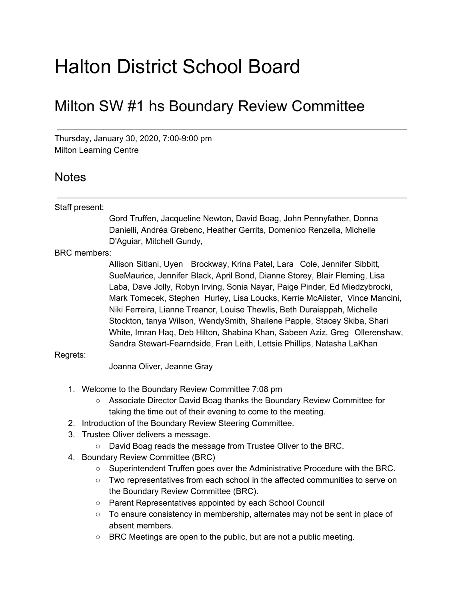# Halton District School Board

## Milton SW #1 hs Boundary Review Committee

Thursday, January 30, 2020, 7:00-9:00 pm Milton Learning Centre

### Notes

#### Staff present:

Gord Truffen, Jacqueline Newton, David Boag, John Pennyfather, Donna Danielli, Andréa Grebenc, Heather Gerrits, Domenico Renzella, Michelle D'Aguiar, Mitchell Gundy,

BRC members:

Allison Sitlani, Uyen Brockway, Krina Patel, Lara Cole, Jennifer Sibbitt, SueMaurice, Jennifer Black, April Bond, Dianne Storey, Blair Fleming, Lisa Laba, Dave Jolly, Robyn Irving, Sonia Nayar, Paige Pinder, Ed Miedzybrocki, Mark Tomecek, Stephen Hurley, Lisa Loucks, Kerrie McAlister, Vince Mancini, Niki Ferreira, Lianne Treanor, Louise Thewlis, Beth Duraiappah, Michelle Stockton, tanya Wilson, WendySmith, Shailene Papple, Stacey Skiba, Shari White, Imran Haq, Deb Hilton, Shabina Khan, Sabeen Aziz, Greg Ollerenshaw, Sandra Stewart-Fearndside, Fran Leith, Lettsie Phillips, Natasha LaKhan

#### Regrets:

Joanna Oliver, Jeanne Gray

- 1. Welcome to the Boundary Review Committee 7:08 pm
	- Associate Director David Boag thanks the Boundary Review Committee for taking the time out of their evening to come to the meeting.
- 2. Introduction of the Boundary Review Steering Committee.
- 3. Trustee Oliver delivers a message.
	- David Boag reads the message from Trustee Oliver to the BRC.
- 4. Boundary Review Committee (BRC)
	- Superintendent Truffen goes over the Administrative Procedure with the BRC.
	- Two representatives from each school in the affected communities to serve on the Boundary Review Committee (BRC).
	- Parent Representatives appointed by each School Council
	- To ensure consistency in membership, alternates may not be sent in place of absent members.
	- BRC Meetings are open to the public, but are not a public meeting.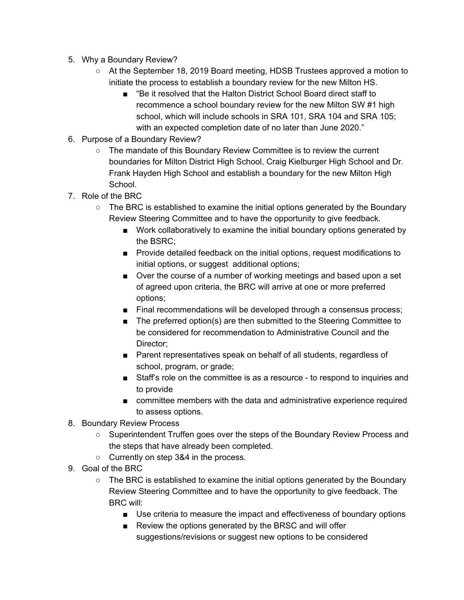- 5. Why a Boundary Review?
	- At the September 18, 2019 Board meeting, HDSB Trustees approved a motion to initiate the process to establish a boundary review for the new Milton HS.
		- "Be it resolved that the Halton District School Board direct staff to recommence a school boundary review for the new Milton SW #1 high school, which will include schools in SRA 101, SRA 104 and SRA 105; with an expected completion date of no later than June 2020."
- 6. Purpose of a Boundary Review?
	- The mandate of this Boundary Review Committee is to review the current boundaries for Milton District High School, Craig Kielburger High School and Dr. Frank Hayden High School and establish a boundary for the new Milton High School.
- 7. Role of the BRC
	- The BRC is established to examine the initial options generated by the Boundary Review Steering Committee and to have the opportunity to give feedback.
		- Work collaboratively to examine the initial boundary options generated by the BSRC;
		- Provide detailed feedback on the initial options, request modifications to initial options, or suggest additional options;
		- Over the course of a number of working meetings and based upon a set of agreed upon criteria, the BRC will arrive at one or more preferred options;
		- Final recommendations will be developed through a consensus process;
		- The preferred option(s) are then submitted to the Steering Committee to be considered for recommendation to Administrative Council and the Director;
		- Parent representatives speak on behalf of all students, regardless of school, program, or grade;
		- Staff's role on the committee is as a resource to respond to inquiries and to provide
		- committee members with the data and administrative experience required to assess options.
- 8. Boundary Review Process
	- Superintendent Truffen goes over the steps of the Boundary Review Process and the steps that have already been completed.
	- Currently on step 3&4 in the process.
- 9. Goal of the BRC
	- $\circ$  The BRC is established to examine the initial options generated by the Boundary Review Steering Committee and to have the opportunity to give feedback. The BRC will:
		- Use criteria to measure the impact and effectiveness of boundary options
		- Review the options generated by the BRSC and will offer suggestions/revisions or suggest new options to be considered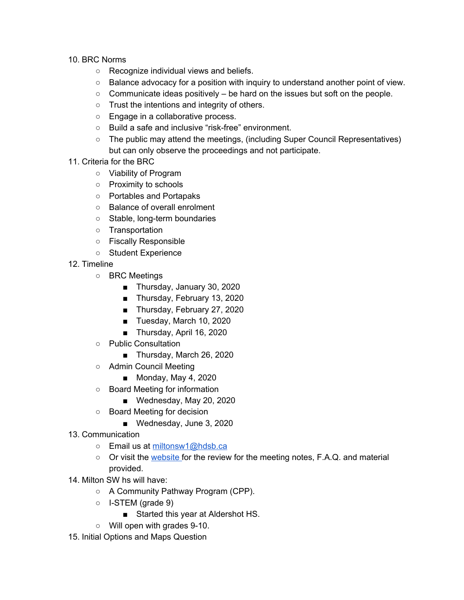- 10. BRC Norms
	- Recognize individual views and beliefs.
	- Balance advocacy for a position with inquiry to understand another point of view.
	- $\circ$  Communicate ideas positively be hard on the issues but soft on the people.
	- Trust the intentions and integrity of others.
	- Engage in a collaborative process.
	- Build a safe and inclusive "risk-free" environment.
	- The public may attend the meetings, (including Super Council Representatives) but can only observe the proceedings and not participate.
- 11. Criteria for the BRC
	- Viability of Program
	- Proximity to schools
	- Portables and Portapaks
	- Balance of overall enrolment
	- Stable, long-term boundaries
	- Transportation
	- Fiscally Responsible
	- Student Experience
- 12. Timeline
	- BRC Meetings
		- Thursday, January 30, 2020
		- Thursday, February 13, 2020
		- Thursday, February 27, 2020
		- Tuesday, March 10, 2020
		- Thursday, April 16, 2020
	- Public Consultation
		- Thursday, March 26, 2020
	- Admin Council Meeting
		- Monday, May 4, 2020
	- Board Meeting for information
		- Wednesday, May 20, 2020
	- Board Meeting for decision
		- Wednesday, June 3, 2020
- 13. Communication
	- Email us at [miltonsw1@hdsb.ca](mailto:miltonsw1@hdsb.ca)
	- Or visit the [website](https://www.hdsb.ca/schools/Pages/School%20Boundary%20Reviews/Current%20Boundary%20Reviews/Milton-SW-1-hs-Boundary-Review.aspx) for the review for the meeting notes, F.A.Q. and material provided.
- 14. Milton SW hs will have:
	- A Community Pathway Program (CPP).
	- I-STEM (grade 9)
		- Started this year at Aldershot HS.
	- Will open with grades 9-10.
- 15. Initial Options and Maps Question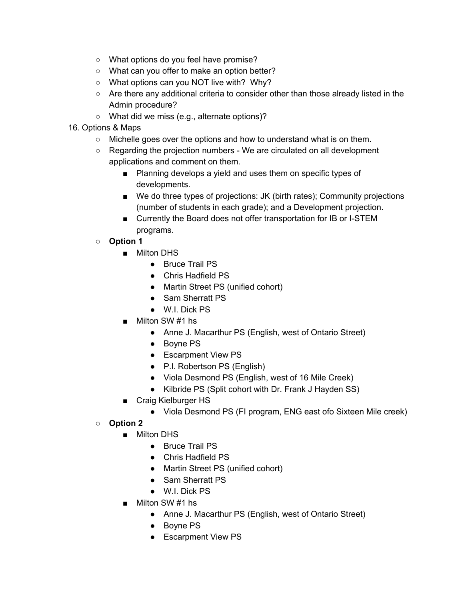- What options do you feel have promise?
- What can you offer to make an option better?
- What options can you NOT live with? Why?
- $\circ$  Are there any additional criteria to consider other than those already listed in the Admin procedure?
- What did we miss (e.g., alternate options)?
- 16. Options & Maps
	- Michelle goes over the options and how to understand what is on them.
	- $\circ$  Regarding the projection numbers We are circulated on all development applications and comment on them.
		- Planning develops a yield and uses them on specific types of developments.
		- We do three types of projections: JK (birth rates); Community projections (number of students in each grade); and a Development projection.
		- Currently the Board does not offer transportation for IB or I-STEM programs.
	- **○ Option 1**
		- Milton DHS
			- Bruce Trail PS
			- Chris Hadfield PS
			- Martin Street PS (unified cohort)
			- Sam Sherratt PS
			- W.I. Dick PS
		- Milton SW #1 hs
			- Anne J. Macarthur PS (English, west of Ontario Street)
			- Boyne PS
			- Escarpment View PS
			- P.I. Robertson PS (English)
			- Viola Desmond PS (English, west of 16 Mile Creek)
			- Kilbride PS (Split cohort with Dr. Frank J Hayden SS)
		- Craig Kielburger HS
			- Viola Desmond PS (FI program, ENG east ofo Sixteen Mile creek)
	- **○ Option 2**
		- Milton DHS
			- Bruce Trail PS
			- Chris Hadfield PS
			- Martin Street PS (unified cohort)
			- Sam Sherratt PS
			- W.I. Dick PS
		- Milton SW #1 hs
			- Anne J. Macarthur PS (English, west of Ontario Street)
			- Boyne PS
			- Escarpment View PS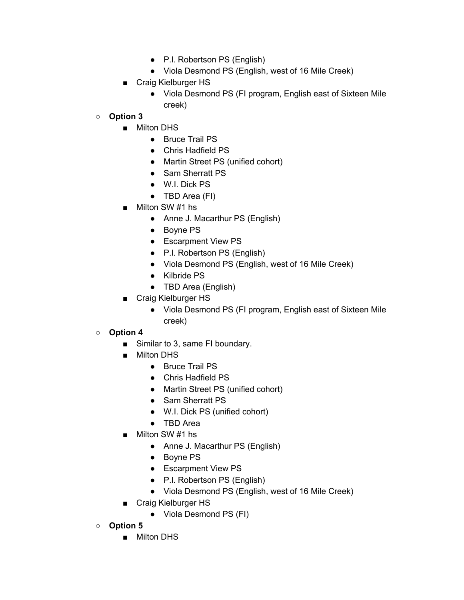- P.I. Robertson PS (English)
- Viola Desmond PS (English, west of 16 Mile Creek)
- Craig Kielburger HS
	- Viola Desmond PS (FI program, English east of Sixteen Mile creek)

#### **○ Option 3**

- Milton DHS
	- Bruce Trail PS
	- Chris Hadfield PS
	- Martin Street PS (unified cohort)
	- Sam Sherratt PS
	- W.I. Dick PS
	- TBD Area (FI)
- Milton SW #1 hs
	- Anne J. Macarthur PS (English)
	- Boyne PS
	- Escarpment View PS
	- P.I. Robertson PS (English)
	- Viola Desmond PS (English, west of 16 Mile Creek)
	- Kilbride PS
	- TBD Area (English)
- Craig Kielburger HS
	- Viola Desmond PS (FI program, English east of Sixteen Mile creek)

#### **○ Option 4**

- Similar to 3, same FI boundary.
- Milton DHS
	- Bruce Trail PS
	- Chris Hadfield PS
	- Martin Street PS (unified cohort)
	- Sam Sherratt PS
	- W.I. Dick PS (unified cohort)
	- TBD Area
- Milton SW #1 hs
	- Anne J. Macarthur PS (English)
	- Boyne PS
	- Escarpment View PS
	- P.l. Robertson PS (English)
	- Viola Desmond PS (English, west of 16 Mile Creek)
- Craig Kielburger HS
	- Viola Desmond PS (FI)
- **○ Option 5**
	- Milton DHS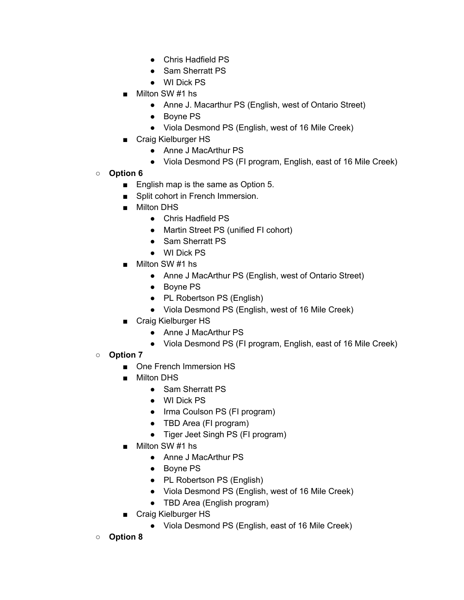- Chris Hadfield PS
- Sam Sherratt PS
- WI Dick PS
- Milton SW #1 hs
	- Anne J. Macarthur PS (English, west of Ontario Street)
	- Boyne PS
	- Viola Desmond PS (English, west of 16 Mile Creek)
- Craig Kielburger HS
	- Anne J MacArthur PS
	- Viola Desmond PS (FI program, English, east of 16 Mile Creek)
- **○ Option 6**
	- English map is the same as Option 5.
	- Split cohort in French Immersion.
	- Milton DHS
		- Chris Hadfield PS
		- Martin Street PS (unified FI cohort)
		- Sam Sherratt PS
		- WI Dick PS
	- Milton SW #1 hs
		- Anne J MacArthur PS (English, west of Ontario Street)
		- Boyne PS
		- PL Robertson PS (English)
		- Viola Desmond PS (English, west of 16 Mile Creek)
	- Craig Kielburger HS
		- Anne J MacArthur PS
		- Viola Desmond PS (FI program, English, east of 16 Mile Creek)
- **○ Option 7**
	- One French Immersion HS
	- Milton DHS
		- Sam Sherratt PS
		- WI Dick PS
		- Irma Coulson PS (FI program)
		- TBD Area (FI program)
		- Tiger Jeet Singh PS (FI program)
	- Milton SW #1 hs
		- Anne J MacArthur PS
		- Boyne PS
		- PL Robertson PS (English)
		- Viola Desmond PS (English, west of 16 Mile Creek)
		- TBD Area (English program)
	- Craig Kielburger HS
		- Viola Desmond PS (English, east of 16 Mile Creek)
- **○ Option 8**